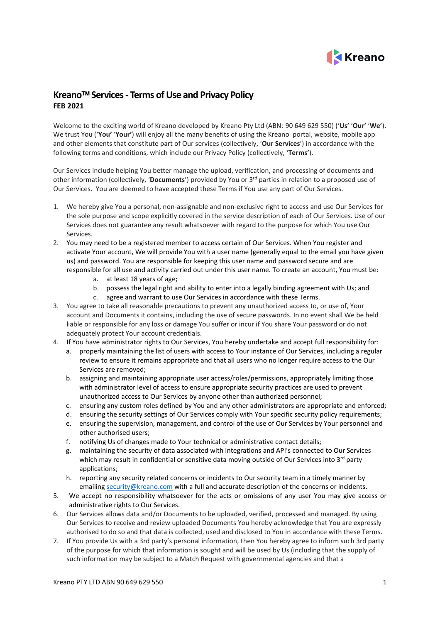

# **Kreano Services - Terms of Use and Privacy Policy FEB 2021**

Welcome to the exciting world of Kreano developed by Kreano Pty Ltd (ABN: 90 649 629 550) ('**Us'** '**Our'** '**We'**). We trust You ('**You'** '**Your'**) will enjoy all the many benefits of using the Kreano portal, website, mobile app and other elements that constitute part of Our services (collectively, '**Our Services**') in accordance with the following terms and conditions, which include our Privacy Policy (collectively, '**Terms'**).

Our Services include helping You better manage the upload, verification, and processing of documents and other information (collectively, '**Documents**') provided by You or 3rd parties in relation to a proposed use of Our Services. You are deemed to have accepted these Terms if You use any part of Our Services.

- 1. We hereby give You a personal, non-assignable and non-exclusive right to access and use Our Services for the sole purpose and scope explicitly covered in the service description of each of Our Services. Use of our Services does not guarantee any result whatsoever with regard to the purpose for which You use Our Services.
- 2. You may need to be a registered member to access certain of Our Services. When You register and activate Your account, We will provide You with a user name (generally equal to the email you have given us) and password. You are responsible for keeping this user name and password secure and are responsible for all use and activity carried out under this user name. To create an account, You must be:
	- a. at least 18 years of age;
	- b. possess the legal right and ability to enter into a legally binding agreement with Us; and
	- c. agree and warrant to use Our Services in accordance with these Terms.
- 3. You agree to take all reasonable precautions to prevent any unauthorized access to, or use of, Your account and Documents it contains, including the use of secure passwords. In no event shall We be held liable or responsible for any loss or damage You suffer or incur if You share Your password or do not adequately protect Your account credentials.
- 4. If You have administrator rights to Our Services, You hereby undertake and accept full responsibility for:
	- a. properly maintaining the list of users with access to Your instance of Our Services, including a regular review to ensure it remains appropriate and that all users who no longer require access to the Our Services are removed;
	- b. assigning and maintaining appropriate user access/roles/permissions, appropriately limiting those with administrator level of access to ensure appropriate security practices are used to prevent unauthorized access to Our Services by anyone other than authorized personnel;
	- c. ensuring any custom roles defined by You and any other administrators are appropriate and enforced;
	- d. ensuring the security settings of Our Services comply with Your specific security policy requirements;
	- e. ensuring the supervision, management, and control of the use of Our Services by Your personnel and other authorised users;
	- f. notifying Us of changes made to Your technical or administrative contact details;
	- g. maintaining the security of data associated with integrations and API's connected to Our Services which may result in confidential or sensitive data moving outside of Our Services into 3rd party applications;
	- h. reporting any security related concerns or incidents to Our security team in a timely manner by emailing [security@kreano.com](mailto:security@kreano.com) with a full and accurate description of the concerns or incidents.
- 5. We accept no responsibility whatsoever for the acts or omissions of any user You may give access or administrative rights to Our Services.
- 6. Our Services allows data and/or Documents to be uploaded, verified, processed and managed. By using Our Services to receive and review uploaded Documents You hereby acknowledge that You are expressly authorised to do so and that data is collected, used and disclosed to You in accordance with these Terms.
- 7. If You provide Us with a 3rd party's personal information, then You hereby agree to inform such 3rd party of the purpose for which that information is sought and will be used by Us (including that the supply of such information may be subject to a Match Request with governmental agencies and that a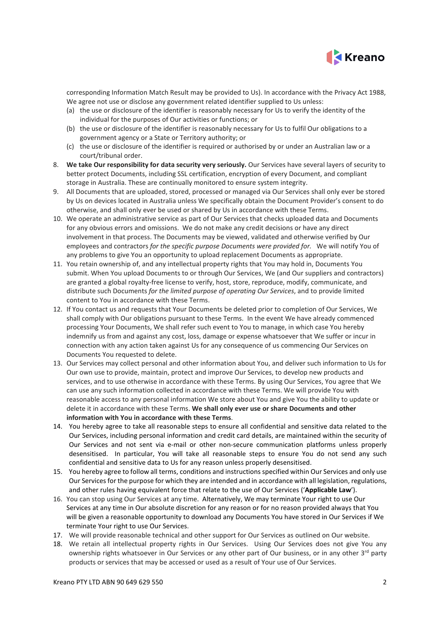

corresponding Information Match Result may be provided to Us). In accordance with the Privacy Act 1988, We agree not use or disclose any government related identifier supplied to Us unless:

- (a) the use or disclosure of the identifier is reasonably necessary for Us to verify the identity of the individual for the purposes of Our activities or functions; or
- (b) the use or disclosure of the identifier is reasonably necessary for Us to fulfil Our obligations to a government agency or a State or Territory authority; or
- (c) the use or disclosure of the identifier is required or authorised by or under an Australian law or a court/tribunal order.
- 8. **We take Our responsibility for data security very seriously.** Our Services have several layers of security to better protect Documents, including SSL certification, encryption of every Document, and compliant storage in Australia. These are continually monitored to ensure system integrity.
- 9. All Documents that are uploaded, stored, processed or managed via Our Services shall only ever be stored by Us on devices located in Australia unless We specifically obtain the Document Provider's consent to do otherwise, and shall only ever be used or shared by Us in accordance with these Terms.
- 10. We operate an administrative service as part of Our Services that checks uploaded data and Documents for any obvious errors and omissions. We do not make any credit decisions or have any direct involvement in that process. The Documents may be viewed, validated and otherwise verified by Our employees and contractors *for the specific purpose Documents were provided for.* We will notify You of any problems to give You an opportunity to upload replacement Documents as appropriate.
- 11. You retain ownership of, and any intellectual property rights that You may hold in, Documents You submit. When You upload Documents to or through Our Services, We (and Our suppliers and contractors) are granted a global royalty-free license to verify, host, store, reproduce, modify, communicate, and distribute such Documents *for the limited purpose of operating Our Services*, and to provide limited content to You in accordance with these Terms.
- 12. If You contact us and requests that Your Documents be deleted prior to completion of Our Services, We shall comply with Our obligations pursuant to these Terms. In the event We have already commenced processing Your Documents, We shall refer such event to You to manage, in which case You hereby indemnify us from and against any cost, loss, damage or expense whatsoever that We suffer or incur in connection with any action taken against Us for any consequence of us commencing Our Services on Documents You requested to delete.
- 13. Our Services may collect personal and other information about You, and deliver such information to Us for Our own use to provide, maintain, protect and improve Our Services, to develop new products and services, and to use otherwise in accordance with these Terms. By using Our Services, You agree that We can use any such information collected in accordance with these Terms. We will provide You with reasonable access to any personal information We store about You and give You the ability to update or delete it in accordance with these Terms. **We shall only ever use or share Documents and other information with You in accordance with these Terms**.
- 14. You hereby agree to take all reasonable steps to ensure all confidential and sensitive data related to the Our Services, including personal information and credit card details, are maintained within the security of Our Services and not sent via e-mail or other non-secure communication platforms unless properly desensitised. In particular, You will take all reasonable steps to ensure You do not send any such confidential and sensitive data to Us for any reason unless properly desensitised.
- 15. You hereby agree to follow all terms, conditions and instructions specified within Our Services and only use Our Services for the purpose for which they are intended and in accordance with all legislation, regulations, and other rules having equivalent force that relate to the use of Our Services ('**Applicable Law**').
- 16. You can stop using Our Services at any time. Alternatively, We may terminate Your right to use Our Services at any time in Our absolute discretion for any reason or for no reason provided always that You will be given a reasonable opportunity to download any Documents You have stored in Our Services if We terminate Your right to use Our Services.
- 17. We will provide reasonable technical and other support for Our Services as outlined on Our website.
- 18. We retain all intellectual property rights in Our Services. Using Our Services does not give You any ownership rights whatsoever in Our Services or any other part of Our business, or in any other 3<sup>rd</sup> party products or services that may be accessed or used as a result of Your use of Our Services.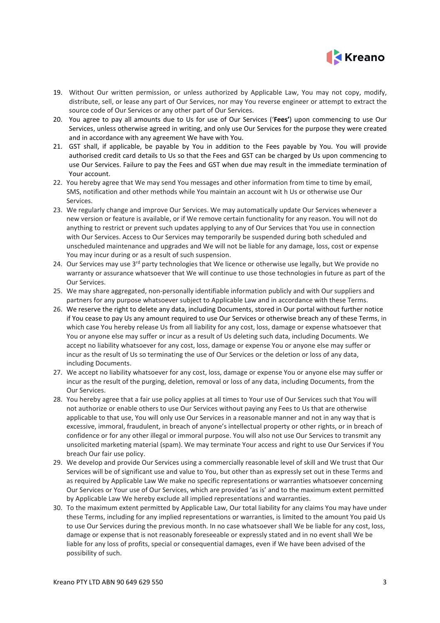

- 19. Without Our written permission, or unless authorized by Applicable Law, You may not copy, modify, distribute, sell, or lease any part of Our Services, nor may You reverse engineer or attempt to extract the source code of Our Services or any other part of Our Services.
- 20. You agree to pay all amounts due to Us for use of Our Services ('**Fees'**) upon commencing to use Our Services, unless otherwise agreed in writing, and only use Our Services for the purpose they were created and in accordance with any agreement We have with You.
- 21. GST shall, if applicable, be payable by You in addition to the Fees payable by You. You will provide authorised credit card details to Us so that the Fees and GST can be charged by Us upon commencing to use Our Services. Failure to pay the Fees and GST when due may result in the immediate termination of Your account.
- 22. You hereby agree that We may send You messages and other information from time to time by email, SMS, notification and other methods while You maintain an account wit h Us or otherwise use Our Services.
- 23. We regularly change and improve Our Services. We may automatically update Our Services whenever a new version or feature is available, or if We remove certain functionality for any reason. You will not do anything to restrict or prevent such updates applying to any of Our Services that You use in connection with Our Services. Access to Our Services may temporarily be suspended during both scheduled and unscheduled maintenance and upgrades and We will not be liable for any damage, loss, cost or expense You may incur during or as a result of such suspension.
- 24. Our Services may use 3<sup>rd</sup> party technologies that We licence or otherwise use legally, but We provide no warranty or assurance whatsoever that We will continue to use those technologies in future as part of the Our Services.
- 25. We may share aggregated, non-personally identifiable information publicly and with Our suppliers and partners for any purpose whatsoever subject to Applicable Law and in accordance with these Terms.
- 26. We reserve the right to delete any data, including Documents, stored in Our portal without further notice if You cease to pay Us any amount required to use Our Services or otherwise breach any of these Terms, in which case You hereby release Us from all liability for any cost, loss, damage or expense whatsoever that You or anyone else may suffer or incur as a result of Us deleting such data, including Documents. We accept no liability whatsoever for any cost, loss, damage or expense You or anyone else may suffer or incur as the result of Us so terminating the use of Our Services or the deletion or loss of any data, including Documents.
- 27. We accept no liability whatsoever for any cost, loss, damage or expense You or anyone else may suffer or incur as the result of the purging, deletion, removal or loss of any data, including Documents, from the Our Services.
- 28. You hereby agree that a fair use policy applies at all times to Your use of Our Services such that You will not authorize or enable others to use Our Services without paying any Fees to Us that are otherwise applicable to that use, You will only use Our Services in a reasonable manner and not in any way that is excessive, immoral, fraudulent, in breach of anyone's intellectual property or other rights, or in breach of confidence or for any other illegal or immoral purpose. You will also not use Our Services to transmit any unsolicited marketing material (spam). We may terminate Your access and right to use Our Services if You breach Our fair use policy.
- 29. We develop and provide Our Services using a commercially reasonable level of skill and We trust that Our Services will be of significant use and value to You, but other than as expressly set out in these Terms and as required by Applicable Law We make no specific representations or warranties whatsoever concerning Our Services or Your use of Our Services, which are provided 'as is' and to the maximum extent permitted by Applicable Law We hereby exclude all implied representations and warranties.
- 30. To the maximum extent permitted by Applicable Law, Our total liability for any claims You may have under these Terms, including for any implied representations or warranties, is limited to the amount You paid Us to use Our Services during the previous month. In no case whatsoever shall We be liable for any cost, loss, damage or expense that is not reasonably foreseeable or expressly stated and in no event shall We be liable for any loss of profits, special or consequential damages, even if We have been advised of the possibility of such.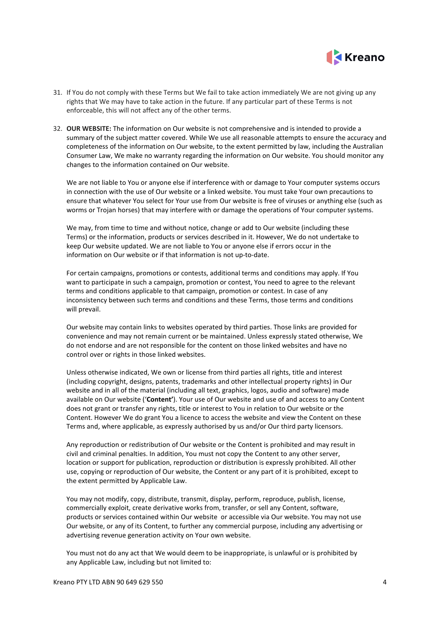

- 31. If You do not comply with these Terms but We fail to take action immediately We are not giving up any rights that We may have to take action in the future. If any particular part of these Terms is not enforceable, this will not affect any of the other terms.
- 32. **OUR WEBSITE:** The information on Our website is not comprehensive and is intended to provide a summary of the subject matter covered. While We use all reasonable attempts to ensure the accuracy and completeness of the information on Our website, to the extent permitted by law, including the Australian Consumer Law, We make no warranty regarding the information on Our website. You should monitor any changes to the information contained on Our website.

We are not liable to You or anyone else if interference with or damage to Your computer systems occurs in connection with the use of Our website or a linked website. You must take Your own precautions to ensure that whatever You select for Your use from Our website is free of viruses or anything else (such as worms or Trojan horses) that may interfere with or damage the operations of Your computer systems.

We may, from time to time and without notice, change or add to Our website (including these Terms) or the information, products or services described in it. However, We do not undertake to keep Our website updated. We are not liable to You or anyone else if errors occur in the information on Our website or if that information is not up-to-date.

For certain campaigns, promotions or contests, additional terms and conditions may apply. If You want to participate in such a campaign, promotion or contest, You need to agree to the relevant terms and conditions applicable to that campaign, promotion or contest. In case of any inconsistency between such terms and conditions and these Terms, those terms and conditions will prevail.

Our website may contain links to websites operated by third parties. Those links are provided for convenience and may not remain current or be maintained. Unless expressly stated otherwise, We do not endorse and are not responsible for the content on those linked websites and have no control over or rights in those linked websites.

Unless otherwise indicated, We own or license from third parties all rights, title and interest (including copyright, designs, patents, trademarks and other intellectual property rights) in Our website and in all of the material (including all text, graphics, logos, audio and software) made available on Our website ('**Content'**). Your use of Our website and use of and access to any Content does not grant or transfer any rights, title or interest to You in relation to Our website or the Content. However We do grant You a licence to access the website and view the Content on these Terms and, where applicable, as expressly authorised by us and/or Our third party licensors.

Any reproduction or redistribution of Our website or the Content is prohibited and may result in civil and criminal penalties. In addition, You must not copy the Content to any other server, location or support for publication, reproduction or distribution is expressly prohibited. All other use, copying or reproduction of Our website, the Content or any part of it is prohibited, except to the extent permitted by Applicable Law.

You may not modify, copy, distribute, transmit, display, perform, reproduce, publish, license, commercially exploit, create derivative works from, transfer, or sell any Content, software, products or services contained within Our website or accessible via Our website. You may not use Our website, or any of its Content, to further any commercial purpose, including any advertising or advertising revenue generation activity on Your own website.

You must not do any act that We would deem to be inappropriate, is unlawful or is prohibited by any Applicable Law, including but not limited to: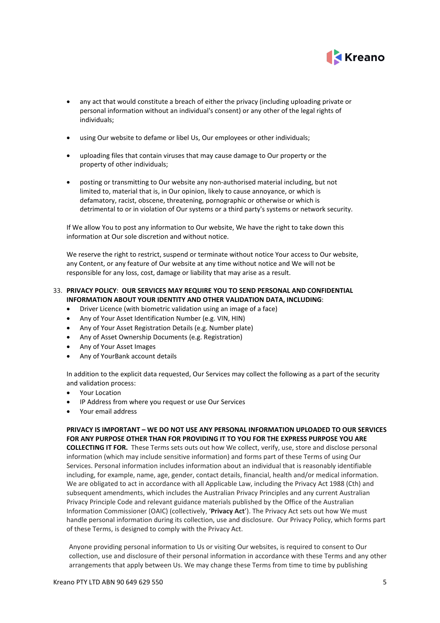

- any act that would constitute a breach of either the privacy (including uploading private or personal information without an individual's consent) or any other of the legal rights of individuals;
- using Our website to defame or libel Us, Our employees or other individuals;
- uploading files that contain viruses that may cause damage to Our property or the property of other individuals;
- posting or transmitting to Our website any non-authorised material including, but not limited to, material that is, in Our opinion, likely to cause annoyance, or which is defamatory, racist, obscene, threatening, pornographic or otherwise or which is detrimental to or in violation of Our systems or a third party's systems or network security.

If We allow You to post any information to Our website, We have the right to take down this information at Our sole discretion and without notice.

We reserve the right to restrict, suspend or terminate without notice Your access to Our website, any Content, or any feature of Our website at any time without notice and We will not be responsible for any loss, cost, damage or liability that may arise as a result.

# 33. **PRIVACY POLICY**: **OUR SERVICES MAY REQUIRE YOU TO SEND PERSONAL AND CONFIDENTIAL INFORMATION ABOUT YOUR IDENTITY AND OTHER VALIDATION DATA, INCLUDING**:

- Driver Licence (with biometric validation using an image of a face)
- Any of Your Asset Identification Number (e.g. VIN, HIN)
- Any of Your Asset Registration Details (e.g. Number plate)
- Any of Asset Ownership Documents (e.g. Registration)
- Any of Your Asset Images
- Any of YourBank account details

In addition to the explicit data requested, Our Services may collect the following as a part of the security and validation process:

- Your Location
- IP Address from where you request or use Our Services
- Your email address

# **PRIVACY IS IMPORTANT – WE DO NOT USE ANY PERSONAL INFORMATION UPLOADED TO OUR SERVICES FOR ANY PURPOSE OTHER THAN FOR PROVIDING IT TO YOU FOR THE EXPRESS PURPOSE YOU ARE**

**COLLECTING IT FOR.** These Terms sets outs out how We collect, verify, use, store and disclose personal information (which may include sensitive information) and forms part of these Terms of using Our Services. Personal information includes information about an individual that is reasonably identifiable including, for example, name, age, gender, contact details, financial, health and/or medical information. We are obligated to act in accordance with all Applicable Law, including the Privacy Act 1988 (Cth) and subsequent amendments, which includes the Australian Privacy Principles and any current Australian Privacy Principle Code and relevant guidance materials published by the Office of the Australian Information Commissioner (OAIC) (collectively, '**Privacy Act**'). The Privacy Act sets out how We must handle personal information during its collection, use and disclosure. Our Privacy Policy, which forms part of these Terms, is designed to comply with the Privacy Act.

Anyone providing personal information to Us or visiting Our websites, is required to consent to Our collection, use and disclosure of their personal information in accordance with these Terms and any other arrangements that apply between Us. We may change these Terms from time to time by publishing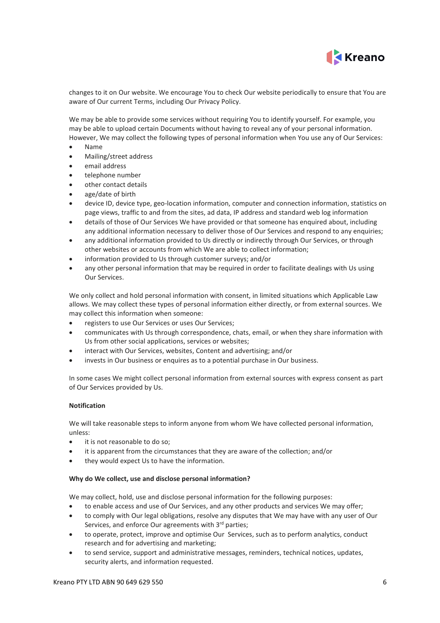

changes to it on Our website. We encourage You to check Our website periodically to ensure that You are aware of Our current Terms, including Our Privacy Policy.

We may be able to provide some services without requiring You to identify yourself. For example, you may be able to upload certain Documents without having to reveal any of your personal information. However, We may collect the following types of personal information when You use any of Our Services:

- Name
- Mailing/street address
- email address
- telephone number
- other contact details
- age/date of birth
- device ID, device type, geo-location information, computer and connection information, statistics on page views, traffic to and from the sites, ad data, IP address and standard web log information
- details of those of Our Services We have provided or that someone has enquired about, including any additional information necessary to deliver those of Our Services and respond to any enquiries;
- any additional information provided to Us directly or indirectly through Our Services, or through other websites or accounts from which We are able to collect information;
- information provided to Us through customer surveys; and/or
- any other personal information that may be required in order to facilitate dealings with Us using Our Services.

We only collect and hold personal information with consent, in limited situations which Applicable Law allows. We may collect these types of personal information either directly, or from external sources. We may collect this information when someone:

- registers to use Our Services or uses Our Services;
- communicates with Us through correspondence, chats, email, or when they share information with Us from other social applications, services or websites;
- interact with Our Services, websites, Content and advertising; and/or
- invests in Our business or enquires as to a potential purchase in Our business.

In some cases We might collect personal information from external sources with express consent as part of Our Services provided by Us.

#### **Notification**

We will take reasonable steps to inform anyone from whom We have collected personal information, unless:

- it is not reasonable to do so;
- it is apparent from the circumstances that they are aware of the collection; and/or
- they would expect Us to have the information.

#### **Why do We collect, use and disclose personal information?**

We may collect, hold, use and disclose personal information for the following purposes:

- to enable access and use of Our Services, and any other products and services We may offer;
- to comply with Our legal obligations, resolve any disputes that We may have with any user of Our Services, and enforce Our agreements with 3rd parties;
- to operate, protect, improve and optimise Our Services, such as to perform analytics, conduct research and for advertising and marketing;
- to send service, support and administrative messages, reminders, technical notices, updates, security alerts, and information requested.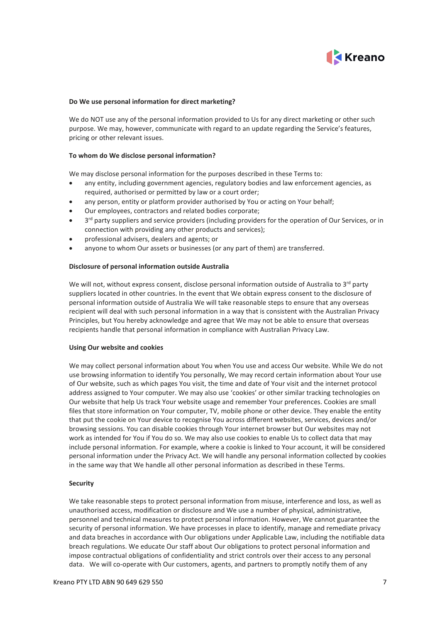

## **Do We use personal information for direct marketing?**

We do NOT use any of the personal information provided to Us for any direct marketing or other such purpose. We may, however, communicate with regard to an update regarding the Service's features, pricing or other relevant issues.

## **To whom do We disclose personal information?**

We may disclose personal information for the purposes described in these Terms to:

- any entity, including government agencies, regulatory bodies and law enforcement agencies, as required, authorised or permitted by law or a court order;
- any person, entity or platform provider authorised by You or acting on Your behalf;
- Our employees, contractors and related bodies corporate;
- 3<sup>rd</sup> party suppliers and service providers (including providers for the operation of Our Services, or in connection with providing any other products and services);
- professional advisers, dealers and agents; or
- anyone to whom Our assets or businesses (or any part of them) are transferred.

#### **Disclosure of personal information outside Australia**

We will not, without express consent, disclose personal information outside of Australia to  $3<sup>rd</sup>$  party suppliers located in other countries. In the event that We obtain express consent to the disclosure of personal information outside of Australia We will take reasonable steps to ensure that any overseas recipient will deal with such personal information in a way that is consistent with the Australian Privacy Principles, but You hereby acknowledge and agree that We may not be able to ensure that overseas recipients handle that personal information in compliance with Australian Privacy Law.

#### **Using Our website and cookies**

We may collect personal information about You when You use and access Our website. While We do not use browsing information to identify You personally, We may record certain information about Your use of Our website, such as which pages You visit, the time and date of Your visit and the internet protocol address assigned to Your computer. We may also use 'cookies' or other similar tracking technologies on Our website that help Us track Your website usage and remember Your preferences. Cookies are small files that store information on Your computer, TV, mobile phone or other device. They enable the entity that put the cookie on Your device to recognise You across different websites, services, devices and/or browsing sessions. You can disable cookies through Your internet browser but Our websites may not work as intended for You if You do so. We may also use cookies to enable Us to collect data that may include personal information. For example, where a cookie is linked to Your account, it will be considered personal information under the Privacy Act. We will handle any personal information collected by cookies in the same way that We handle all other personal information as described in these Terms.

## **Security**

We take reasonable steps to protect personal information from misuse, interference and loss, as well as unauthorised access, modification or disclosure and We use a number of physical, administrative, personnel and technical measures to protect personal information. However, We cannot guarantee the security of personal information. We have processes in place to identify, manage and remediate privacy and data breaches in accordance with Our obligations under Applicable Law, including the notifiable data breach regulations. We educate Our staff about Our obligations to protect personal information and impose contractual obligations of confidentiality and strict controls over their access to any personal data. We will co-operate with Our customers, agents, and partners to promptly notify them of any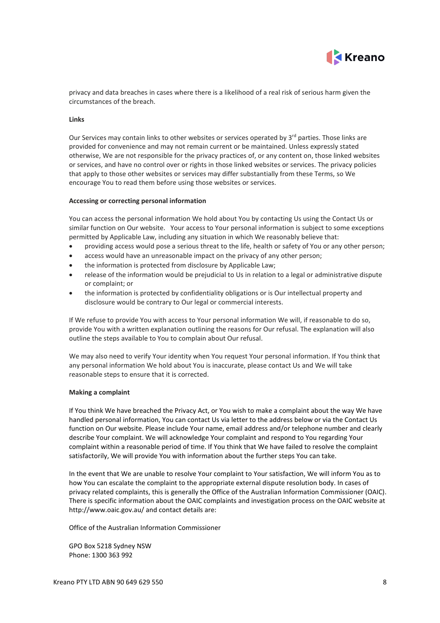

privacy and data breaches in cases where there is a likelihood of a real risk of serious harm given the circumstances of the breach.

#### **Links**

Our Services may contain links to other websites or services operated by  $3<sup>rd</sup>$  parties. Those links are provided for convenience and may not remain current or be maintained. Unless expressly stated otherwise, We are not responsible for the privacy practices of, or any content on, those linked websites or services, and have no control over or rights in those linked websites or services. The privacy policies that apply to those other websites or services may differ substantially from these Terms, so We encourage You to read them before using those websites or services.

#### **Accessing or correcting personal information**

You can access the personal information We hold about You by contacting Us using the Contact Us or similar function on Our website. Your access to Your personal information is subject to some exceptions permitted by Applicable Law, including any situation in which We reasonably believe that:

- providing access would pose a serious threat to the life, health or safety of You or any other person;
- access would have an unreasonable impact on the privacy of any other person;
- the information is protected from disclosure by Applicable Law;
- release of the information would be prejudicial to Us in relation to a legal or administrative dispute or complaint; or
- the information is protected by confidentiality obligations or is Our intellectual property and disclosure would be contrary to Our legal or commercial interests.

If We refuse to provide You with access to Your personal information We will, if reasonable to do so, provide You with a written explanation outlining the reasons for Our refusal. The explanation will also outline the steps available to You to complain about Our refusal.

We may also need to verify Your identity when You request Your personal information. If You think that any personal information We hold about You is inaccurate, please contact Us and We will take reasonable steps to ensure that it is corrected.

#### **Making a complaint**

If You think We have breached the Privacy Act, or You wish to make a complaint about the way We have handled personal information, You can contact Us via letter to the address below or via the Contact Us function on Our website. Please include Your name, email address and/or telephone number and clearly describe Your complaint. We will acknowledge Your complaint and respond to You regarding Your complaint within a reasonable period of time. If You think that We have failed to resolve the complaint satisfactorily, We will provide You with information about the further steps You can take.

In the event that We are unable to resolve Your complaint to Your satisfaction, We will inform You as to how You can escalate the complaint to the appropriate external dispute resolution body. In cases of privacy related complaints, this is generally the Office of the Australian Information Commissioner (OAIC). There is specific information about the OAIC complaints and investigation process on the OAIC website at http://www.oaic.gov.au/ and contact details are:

Office of the Australian Information Commissioner

GPO Box 5218 Sydney NSW Phone: 1300 363 992